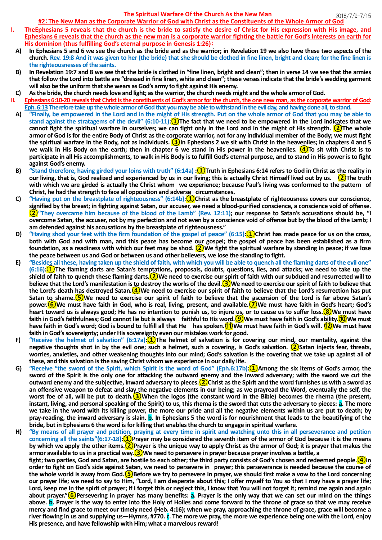## 2018/7/9-7/15 **The Spiritual Warfare Of the Church As the New Man**

- **A) In Ephesians 5 and 6 we see the church as the bride and as the warrior; in Revelation 19 we also have these two aspects of the church. Rev. 19:8 And it was given to her (the bride) that she should be clothed in fine linen, bright and clean; for the fine linen is the righteousnesses of the saints.**
- **B) In Revelation 19:7 and 8 we see that the bride is clothed in "fine linen, bright and clean"; then in verse 14 we see that the armies that follow the Lord into battle are "dressed in fine linen, white and clean"; these versesindicate that the bride's wedding garment will also be the uniform thatshe wears as God's army to fight against His enemy.**
- **C) As the bride, the church needs love and light; as the warrior, the church needs might and the whole armor of God.**
- **II. Ephesians 6:10-20 reveals that Christ is the constituents of God's armor for the church, the one new man, as the corporate warrior of God: Eph. 6:13 Therefore take up the whole armorof God that you may be able to withstand in the evil day, and having done all, to stand.**
- **A) "Finally, be empowered in the Lord and in the might of His strength. Put on the whole armor of God that you may be able to stand against the stratagems of the devil" (6:10-11):①The fact that we need to be empowered in the Lord indicates that we cannot fight the spiritual warfare in ourselves; we can fight only in the Lord and in the might of His strength. ②The whole armor of God is for the entire Body of Christ as the corporate warrior, not for any individual member of the Body; we must fight the spiritual warfare in the Body, not as individuals. ③In Ephesians 2 we sit with Christ in the heavenlies; in chapters 4 and 5 we walk in His Body on the earth; then in chapter 6 we stand in His power in the heavenlies. ④To sit with Christ is to participate in all His accomplishments, to walk in His Body is to fulfill God's eternal purpose, and to stand in His power is to fight against God's enemy.**
- **B) "Stand therefore, having girded your loins with truth" (6:14a) :①Truth in Ephesians 6:14 refers to God in Christ as the reality in our living, that is, God realized and experienced by us in our living; this is actually Christ Himself lived out by us. ②The truth with which we are girded is actually the Christ whom we experience; because Paul's living was conformed to the pattern of Christ, he had the strength to face all opposition and adverse circumstances**.
- **C) "Having put on the breastplate of righteousness" (6:14b):①Christ as the breastplate of righteousness covers our conscience, signified by the breast; in fighting against Satan, our accuser, we need a blood-purified conscience, a conscience void of offense. ②"They overcame him because of the blood of the Lamb" (Rev. 12:11); our response to Satan's accusations should be, "I overcome Satan, the accuser, not by my perfection and not even by a conscience void of offense but by the blood of the Lamb; I am defended against his accusations by the breastplate of righteousness."**
- **D) "Having shod your feet with the firm foundation of the gospel of peace" (6:15):**①**Christ has made peace for us on the cross, both with God and with man, and this peace has become our gospel; the gospel of peace has been established as a firm foundation, as a readiness with which our feet may be shod. ②We fight the spiritual warfare by standing in peace; if we lose the peace between us and God or between us and other believers, we lose the standing to fight.**
- **E) "Besides all these, having taken up the shield of faith, with which you will be able to quench all the flaming darts of the evil one" (6:16):**①**The flaming darts are Satan's temptations, proposals, doubts, questions, lies, and attacks; we need to take up the shield of faith to quench these flaming darts.②We need to exercise our spirit of faith with our subdued and resurrected will to believe that the Lord's manifestation is to destroy the works of the devil.③We need to exercise our spirit of faith to believe that the Lord's death has destroyed Satan.④We need to exercise our spirit of faith to believe that the Lord's resurrection has put Satan to shame.⑤We need to exercise our spirit of faith to believe that the ascension of the Lord is far above Satan's power.⑥We must have faith in God, who is real, living, present, and available.⑦We must have faith in God's heart; God's heart toward us is always good; He has no intention to punish us, to injure us, or to cause us to suffer loss.⑧We must have faith in God's faithfulness; God cannot lie but is always faithful to His word.⑨We must have faith in God's ability.⑩We must have faith in God's word; God is bound to fulfill all that He has spoken.⑪We must have faith in God's will. ⑫We must have faith in God's sovereignty; under His sovereignty even our mistakes work for good.**
- **F) "Receive the helmet of salvation" (6:17a):①The helmet of salvation is for covering our mind, our mentality, against the negative thoughts shot in by the evil one; such a helmet, such a covering, is God's salvation. ②Satan injects fear, threats, worries, anxieties, and other weakening thoughts into our mind; God's salvation is the covering that we take up against all of these, and this salvation is the saving Christ whom we experience in our daily life.**
- **G) "Receive "the sword of the Spirit, which Spirit is the word of God" (Eph.6:17b):①Among the six items of God's armor, the sword of the Spirit is the only one for attacking the outward enemy and the inward adversary; with the sword we cut the outward enemy and the subjective, inward adversary to pieces.②Christ as the Spirit and the word furnishes us with a sword as an offensive weapon to defeat and slay the negative elements in our being; as we prayread the Word, eventually the self, the worst foe of all, will be put to death.③When the logos (the constant word in the Bible) becomes the rhema (the present, instant, living, and personal speaking of the Spirit) to us, this rhema is the sword that cuts the adversary to pieces: a. The more we take in the word with its killing power, the more our pride and all the negative elements within us are put to death; by**  pray-reading, the inward adversary is slain. **b.** In Ephesians 5 the word is for nourishment that leads to the beautifving of the **bride, but in Ephesians 6 the word is for killing that enables the church to engage in spiritual warfare.**
- **H) "By means of all prayer and petition, praying at every time in spirit and watching unto this in all perseverance and petition concerning all the saints"(6:17-18):①Prayer may be considered the seventh item of the armor of God because it is the means by which we apply the other items.②Prayer is the unique way to apply Christ as the armor of God; it is prayer that makes the armor available to us in a practical way.③We need to persevere in prayer because prayer involves a battle, a fight; two parties, God and Satan, are hostile to each other; the third party consists of God's chosen and redeemed people.④In order to fight on God's side against Satan, we need to persevere in prayer; this perseverance is needed because the course of the whole world is away from God.⑤Before we try to persevere in prayer, we should first make a vow to the Lord concerning our prayer life; we need to say to Him, "Lord, I am desperate about this; I offer myself to You so that I may have a prayer life; Lord, keep me in the spirit of prayer; if I forget this or neglect this, I know that You will not forget it; remind me again and again about prayer."⑥Persevering in prayer has many benefits: a. Prayer is the only way that we can set our mind on the things above. b. Prayer is the way to enter into the Holy of Holies and come forward to the throne of grace so that we may receive mercy and find grace to meet our timely need (Heb. 4:16); when we pray, approaching the throne of grace, grace will become a river flowing in us and supplying us—Hymns, #770. c. The more we pray, the more we experience being one with the Lord, enjoy His presence, and have fellowship with Him; what a marvelous reward!**